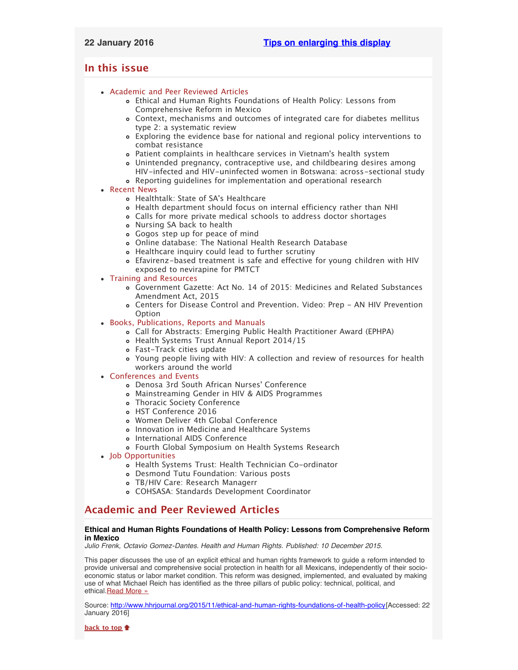## <span id="page-0-2"></span><span id="page-0-1"></span>**In this issue**

- [Academic and Peer Reviewed Articles](#page-0-0)
	- [Ethical and Human Rights Foundations of Health Policy: Lessons from](#page-1-0) [Comprehensive Reform in Mexico](#page-1-0)
	- [Context, mechanisms and outcomes of integrated care for diabetes mellitus](#page-1-0) [type 2: a systematic review](#page-1-0)
	- [Exploring the evidence base for national and regional policy interventions to](#page-1-0) [combat resistance](#page-1-0)
	- [Patient complaints in healthcare services in Vietnam](#page-1-0)'s health system
	- [Unintended pregnancy, contraceptive use, and childbearing desires among](#page-1-0) [HIV-infected and HIV-uninfected women in Botswana: across-sectional study](#page-1-0)
	- [Reporting guidelines for implementation and operational research](#page-1-1)
- [Recent News](#page-1-2)
	- [Healthtalk: State of SA](#page-2-0)'s Healthcare
	- [Health department should focus on internal efficiency rather than NHI](#page-2-0)
	- [Calls for more private medical schools to address doctor shortages](#page-2-1)
	- [Nursing SA back to health](#page-2-2)
	- [Gogos step up for peace of mind](#page-2-3)
	- [Online database: The National Health Research Database](#page-2-4)
	- [Healthcare inquiry could lead to further scrutiny](#page-2-3)
	- [Efavirenz-based treatment is safe and effective for young children with HIV](#page-2-3) [exposed to nevirapine for PMTCT](#page-2-3)
- [Training and Resources](#page-5-0)
	- [Government Gazette: Act No. 14 of 2015: Medicines and Related Substances](#page-3-0) [Amendment Act, 2015](#page-3-0)
	- [Centers for Disease Control and Prevention. Video: Prep AN HIV Prevention](#page-3-0) [Option](#page-3-0)
- [Books, Publications, Reports and Manuals](#page-0-1)
	- [Call for Abstracts: Emerging Public Health Practitioner Award \(EPHPA\)](#page-3-1)
	- [Health Systems Trust Annual Report 2014/15](#page-3-1)
	- [Fast-Track cities update](#page-3-1)
	- [Young people living with HIV: A collection and review of resources for health](#page-3-1) [workers around the world](#page-3-1)
- [Conferences and Events](#page-4-0)
	- [Denosa 3rd South African Nurses](#page-5-1)' Conference
	- [Mainstreaming Gender in HIV & AIDS Programmes](#page-5-1)
	- [Thoracic Society Conference](#page-5-1)
	- [HST Conference 2016](#page-5-1)
	- [Women Deliver 4th Global Conference](#page-5-1)
	- [Innovation in Medicine and Healthcare Systems](#page-5-1)
	- o [International AIDS Conference](#page-5-1)
	- [Fourth Global Symposium on Health Systems Research](#page-0-1)
- [Job Opportunities](#page-0-1)
	- [Health Systems Trust: Health Technician Co-ordinator](#page-5-2)
	- [Desmond Tutu Foundation: Various posts](#page-5-2)
	- [TB/HIV Care: Research Managerr](#page-5-2)
	- [COHSASA: Standards Development Coordinator](#page-5-2)

# <span id="page-0-0"></span>**Academic and Peer Reviewed Articles**

## **Ethical and Human Rights Foundations of Health Policy: Lessons from Comprehensive Reform in Mexico**

*Julio Frenk, Octavio Gomez-Dantes. Health and Human Rights. Published: 10 December 2015.*

This paper discusses the use of an explicit ethical and human rights framework to guide a reform intended to provide universal and comprehensive social protection in health for all Mexicans, independently of their socioeconomic status or labor market condition. This reform was designed, implemented, and evaluated by making use of what Michael Reich has identified as the three pillars of public policy: technical, political, and ethical. Read More »

Source: [http://www.hhrjournal.org/2015/11/ethical-and-human-rights-foundations-of-health-policy\[](http://www.hhrjournal.org/2015/11/ethical-and-human-rights-foundations-of-health-policy-lessons-from-comprehensive-reform-in-mexico/)Accessed: 22 January 2016]

**[back to top](#page-0-2)**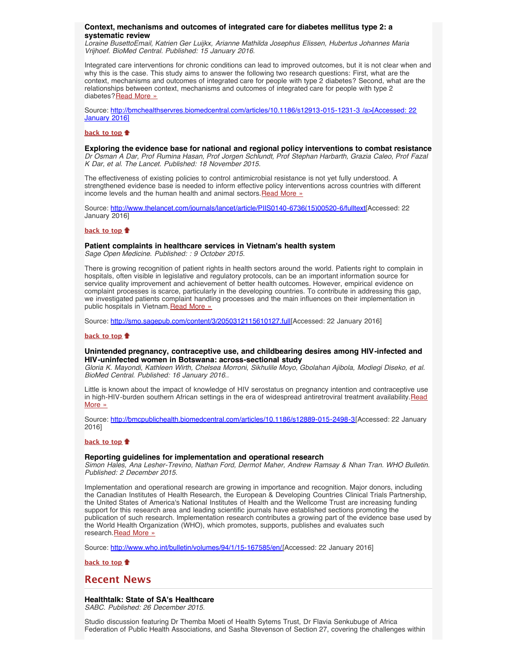## **Context, mechanisms and outcomes of integrated care for diabetes mellitus type 2: a systematic review**

*Loraine BusettoEmail, Katrien Ger Luijkx, Arianne Mathilda Josephus Elissen, Hubertus Johannes Maria Vrijhoef. BioMed Central. Published: 15 January 2016.*

Integrated care interventions for chronic conditions can lead to improved outcomes, but it is not clear when and why this is the case. This study aims to answer the following two research questions: First, what are the context, mechanisms and outcomes of integrated care for people with type 2 diabetes? Second, what are the relationships between context, mechanisms and outcomes of integrated care for people with type 2 diabetes? [Read More »](http://bmchealthservres.biomedcentral.com/articles/10.1186/s12913-015-1231-3)

Source: [http://bmchealthservres.biomedcentral.com/articles/10.1186/s12913-015-1231-3 /a>\[Accessed: 22](http://bmchealthservres.biomedcentral.com/articles/10.1186/s12913-015-1231-3) [January 2016\]](http://bmchealthservres.biomedcentral.com/articles/10.1186/s12913-015-1231-3)

## **[back to top](#page-0-2)**

**Exploring the evidence base for national and regional policy interventions to combat resistance** *Dr Osman A Dar, Prof Rumina Hasan, Prof Jorgen Schlundt, Prof Stephan Harbarth, Grazia Caleo, Prof Fazal K Dar, et al. The Lancet. Published: 18 November 2015.*

The effectiveness of existing policies to control antimicrobial resistance is not yet fully understood. A strengthened evidence base is needed to inform effective policy interventions across countries with different income levels and the human health and animal sectors. [Read More »](http://www.thelancet.com/journals/lancet/article/PIIS0140-6736(15)00520-6/fulltext)

Source: [http://www.thelancet.com/journals/lancet/article/PIIS0140-6736\(15\)00520-6/fulltext\[](http://www.thelancet.com/journals/lancet/article/PIIS0140-6736(15)00520-6/fulltext)Accessed: 22 January 2016]

## **[back to top](#page-0-2)**

## <span id="page-1-0"></span>**Patient complaints in healthcare services in Vietnam's health system**

*Sage Open Medicine. Published: : 9 October 2015.*

There is growing recognition of patient rights in health sectors around the world. Patients right to complain in hospitals, often visible in legislative and regulatory protocols, can be an important information source for service quality improvement and achievement of better health outcomes. However, empirical evidence on complaint processes is scarce, particularly in the developing countries. To contribute in addressing this gap, we investigated patients complaint handling processes and the main influences on their implementation in public hospitals in Vietnam. [Read More »](http://smo.sagepub.com/content/3/2050312115610127.full)

Source: [http://smo.sagepub.com/content/3/2050312115610127.full\[](http://smo.sagepub.com/content/3/2050312115610127.full)Accessed: 22 January 2016]

### **[back to top](#page-0-2)**

## **Unintended pregnancy, contraceptive use, and childbearing desires among HIV-infected and HIV-uninfected women in Botswana: across-sectional study**

*Gloria K. Mayondi, Kathleen Wirth, Chelsea Morroni, Sikhulile Moyo, Gbolahan Ajibola, Modiegi Diseko, et al. BioMed Central. Published: 16 January 2016..*

Little is known about the impact of knowledge of HIV serostatus on pregnancy intention and contraceptive use in high-HIV-burden southern African settings in the era of widespread antiretroviral treatment availability. [Read](http://bmcpublichealth.biomedcentral.com/articles/10.1186/s12889-015-2498-3) [More »](http://bmcpublichealth.biomedcentral.com/articles/10.1186/s12889-015-2498-3)

Source: [http://bmcpublichealth.biomedcentral.com/articles/10.1186/s12889-015-2498-3\[](http://bmcpublichealth.biomedcentral.com/articles/10.1186/s12889-015-2498-3)Accessed: 22 January 2016]

## **[back to top](#page-0-2)**

## <span id="page-1-1"></span>**Reporting guidelines for implementation and operational research**

*Simon Hales, Ana Lesher-Trevino, Nathan Ford, Dermot Maher, Andrew Ramsay & Nhan Tran. WHO Bulletin. Published: 2 December 2015.*

Implementation and operational research are growing in importance and recognition. Major donors, including the Canadian Institutes of Health Research, the European & Developing Countries Clinical Trials Partnership, the United States of America's National Institutes of Health and the Wellcome Trust are increasing funding support for this research area and leading scientific journals have established sections promoting the publication of such research. Implementation research contributes a growing part of the evidence base used by the World Health Organization (WHO), which promotes, supports, publishes and evaluates such research. [Read More »](http://www.who.int/bulletin/volumes/94/1/15-167585/en/)

Source: <http://www.who.int/bulletin/volumes/94/1/15-167585/en/>[Accessed: 22 January 2016]

**[back to top](#page-0-2)**

## <span id="page-1-2"></span>**Recent News**

## **Healthtalk: State of SA's Healthcare**

*SABC. Published: 26 December 2015.*

Studio discussion featuring Dr Themba Moeti of Health Sytems Trust, Dr Flavia Senkubuge of Africa Federation of Public Health Associations, and Sasha Stevenson of Section 27, covering the challenges within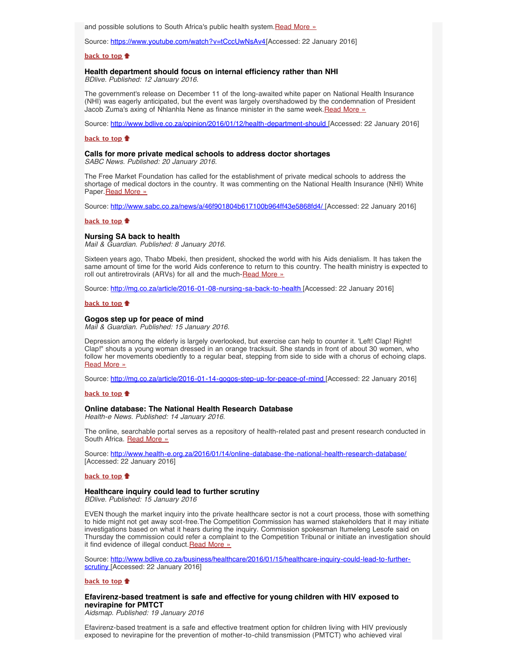and possible solutions to South Africa's public health system. [Read More »](https://www.youtube.com/watch?v=tCccUwNsAv4)

Source: [https://www.youtube.com/watch?v=tCccUwNsAv4\[](https://www.youtube.com/watch?v=tCccUwNsAv4)Accessed: 22 January 2016]

## **[back to top](#page-0-2)**

## <span id="page-2-0"></span>**Health department should focus on internal efficiency rather than NHI**

*BDlive. Published: 12 January 2016.*

The government's release on December 11 of the long-awaited white paper on National Health Insurance (NHI) was eagerly anticipated, but the event was largely overshadowed by the condemnation of President Jacob Zuma's axing of Nhlanhla Nene as finance minister in the same week.[Read More »](http://www.hst.org.za/news/health-department-should-focus-internal-efficiency-rather-nhi)

Source: [http://www.bdlive.co.za/opinion/2016/01/12/health-department-should](http://www.bdlive.co.za/opinion/2016/01/12/health-department-should-focus-on-internal-efficiency-rather-than-nhi) [Accessed: 22 January 2016]

### **[back to top](#page-0-2)**

## <span id="page-2-1"></span>**Calls for more private medical schools to address doctor shortages** *SABC News. Published: 20 January 2016.*

The Free Market Foundation has called for the establishment of private medical schools to address the shortage of medical doctors in the country. It was commenting on the National Health Insurance (NHI) White Paper. [Read More »](http://www.hst.org.za/news/calls-more-private-medical-schools-address-doctor-shortages)

Source: [http://www.sabc.co.za/news/a/46f901804b617100b964ff43e5868fd4/ \[](http://www.sabc.co.za/news/a/46f901804b617100b964ff43e5868fd4/Calls-for-more-private-medical-schools-to-address-doctor-shortages-20160120)Accessed: 22 January 2016]

#### **[back to top](#page-0-2)**

<span id="page-2-2"></span>**Nursing SA back to health**

*Mail & Guardian. Published: 8 January 2016.*

Sixteen years ago, Thabo Mbeki, then president, shocked the world with his Aids denialism. It has taken the same amount of time for the world Aids conference to return to this country. The health ministry is expected to roll out antiretrovirals (ARVs) for all and the much-[Read More »](http://www.hst.org.za/news/nursing-sa-back-health)

Source: <http://mg.co.za/article/2016-01-08-nursing-sa-back-to-health>[Accessed: 22 January 2016]

#### **[back to top](#page-0-2)**

### **Gogos step up for peace of mind**

*Mail & Guardian. Published: 15 January 2016.*

Depression among the elderly is largely overlooked, but exercise can help to counter it. 'Left! Clap! Right! Clap!" shouts a young woman dressed in an orange tracksuit. She stands in front of about 30 women, who follow her movements obediently to a regular beat, stepping from side to side with a chorus of echoing claps. [Read More »](http://www.hst.org.za/news/gogos-step-peace-mind)

Source: <http://mg.co.za/article/2016-01-14-gogos-step-up-for-peace-of-mind>[Accessed: 22 January 2016]

### **[back to top](#page-0-2)**

## <span id="page-2-4"></span>**Online database: The National Health Research Database**

*Health-e News. Published: 14 January 2016.*

The online, searchable portal serves as a repository of health-related past and present research conducted in South Africa. [Read More »](http://www.hst.org.za/news/online-database-national-health-research-database-health-e-news-january-14-2016)

Source: <http://www.health-e.org.za/2016/01/14/online-database-the-national-health-research-database/> [Accessed: 22 January 2016]

### **[back to top](#page-0-2)**

### **Healthcare inquiry could lead to further scrutiny**

*BDlive. Published: 15 January 2016*

EVEN though the market inquiry into the private healthcare sector is not a court process, those with something to hide might not get away scot-free.The Competition Commission has warned stakeholders that it may initiate investigations based on what it hears during the inquiry. Commission spokesman Itumeleng Lesofe said on Thursday the commission could refer a complaint to the Competition Tribunal or initiate an investigation should it find evidence of illegal conduct. [Read More »](http://www.hst.org.za/news/healthcare-inquiry-could-lead-further-scrutiny)

Source: [http://www.bdlive.co.za/business/healthcare/2016/01/15/healthcare-inquiry-could-lead-to-further](http://www.bdlive.co.za/business/healthcare/2016/01/15/healthcare-inquiry-could-lead-to-further-scrutiny)[scrutiny \[](http://www.bdlive.co.za/business/healthcare/2016/01/15/healthcare-inquiry-could-lead-to-further-scrutiny)Accessed: 22 January 2016]

### **[back to top](#page-0-2)**

## <span id="page-2-3"></span>**Efavirenz-based treatment is safe and effective for young children with HIV exposed to nevirapine for PMTCT**

*Aidsmap. Published: 19 January 2016*

Efavirenz-based treatment is a safe and effective treatment option for children living with HIV previously exposed to nevirapine for the prevention of mother-to-child transmission (PMTCT) who achieved viral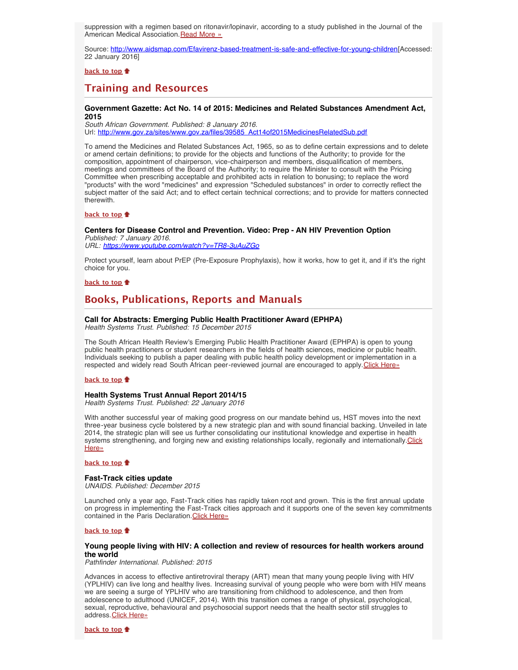suppression with a regimen based on ritonavir/lopinavir, according to a study published in the Journal of the American Medical Association. [Read More »](http://www.hst.org.za/news/efavirenz-based-treatment-safe-and-effective-young-children-hiv-exposed-nevirapine-pmtct)

Source: [http://www.aidsmap.com/Efavirenz-based-treatment-is-safe-and-effective-for-young-children\[](http://www.aidsmap.com/Efavirenz-based-treatment-is-safe-and-effective-for-young-children-with-HIV-exposed-to-nevirapine-for-PMTCT/page/3026195/)Accessed: 22 January 2016]

**[back to top](#page-0-2)**

# **Training and Resources**

### **Government Gazette: Act No. 14 of 2015: Medicines and Related Substances Amendment Act, 2015**

*South African Government. Published: 8 January 2016.*  Url: [http://www.gov.za/sites/www.gov.za/files/39585\\_Act14of2015MedicinesRelatedSub.pdf](http://www.gov.za/sites/www.gov.za/files/39585_Act14of2015MedicinesRelatedSub.pdf)

To amend the Medicines and Related Substances Act, 1965, so as to define certain expressions and to delete or amend certain definitions; to provide for the objects and functions of the Authority; to provide for the composition, appointment of chairperson, vice-chairperson and members, disqualification of members, meetings and committees of the Board of the Authority; to require the Minister to consult with the Pricing Committee when prescribing acceptable and prohibited acts in relation to bonusing; to replace the word "products" with the word "medicines" and expression "Scheduled substances" in order to correctly reflect the subject matter of the said Act; and to effect certain technical corrections; and to provide for matters connected therewith.

## **[back to top](#page-0-2)**

## <span id="page-3-0"></span>**Centers for Disease Control and Prevention. Video: Prep - AN HIV Prevention Option**

*Published: 7 January 2016. URL: <https://www.youtube.com/watch?v=TR8-3uAuZGo>*

Protect yourself, learn about PrEP (Pre-Exposure Prophylaxis), how it works, how to get it, and if it's the right choice for you.

## **[back to top](#page-0-2)**

# **Books, Publications, Reports and Manuals**

## **Call for Abstracts: Emerging Public Health Practitioner Award (EPHPA)**

*Health Systems Trust. Published: 15 December 2015*

The South African Health Review's Emerging Public Health Practitioner Award (EPHPA) is open to young public health practitioners or student researchers in the fields of health sciences, medicine or public health. Individuals seeking to publish a paper dealing with public health policy development or implementation in a respected and widely read South African peer-reviewed journal are encouraged to apply. [Click Here»](http://www.hst.org.za/news/2016-ephpa-award)

### **[back to top](#page-0-2)**

## **Health Systems Trust Annual Report 2014/15**

*Health Systems Trust. Published: 22 January 2016*

With another successful year of making good progress on our mandate behind us, HST moves into the next three-year business cycle bolstered by a new strategic plan and with sound financial backing. Unveiled in late 2014, the strategic plan will see us further consolidating our institutional knowledge and expertise in health systems strengthening, and forging new and existing relationships locally, regionally and internationally. [Click](http://www.hst.org.za/news/health-systems-trust-annual-report-201415) [Here»](http://www.hst.org.za/news/health-systems-trust-annual-report-201415)

### **[back to top](#page-0-2)**

### **Fast-Track cities update**

*UNAIDS. Published: December 2015*

Launched only a year ago, Fast-Track cities has rapidly taken root and grown. This is the first annual update on progress in implementing the Fast-Track cities approach and it supports one of the seven key commitments contained in the Paris Declaration. [Click Here»](http://www.hst.org.za/publications/fast-track-cities-update)

### **[back to top](#page-0-2)**

## <span id="page-3-1"></span>**Young people living with HIV: A collection and review of resources for health workers around the world**

*Pathfinder International. Published: 2015*

Advances in access to effective antiretroviral therapy (ART) mean that many young people living with HIV (YPLHIV) can live long and healthy lives. Increasing survival of young people who were born with HIV means we are seeing a surge of YPLHIV who are transitioning from childhood to adolescence, and then from adolescence to adulthood (UNICEF, 2014). With this transition comes a range of physical, psychological, sexual, reproductive, behavioural and psychosocial support needs that the health sector still struggles to address. [Click Here»](http://www.pathfinder.org/publications-tools/young-people-living-with-hiv/)

**[back to top](#page-0-2)**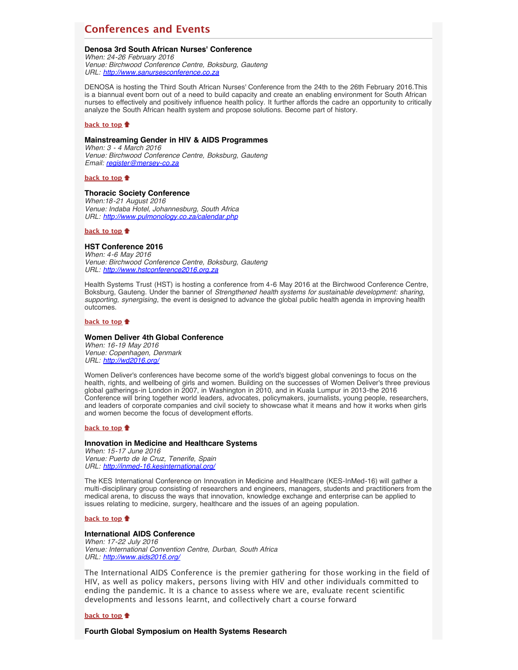# <span id="page-4-0"></span>**Conferences and Events**

## **Denosa 3rd South African Nurses' Conference**

*When: 24-26 February 2016 Venue: Birchwood Conference Centre, Boksburg, Gauteng URL: [http://www.sanursesconference.co.za](http://www.sanursesconference.co.za/)*

DENOSA is hosting the Third South African Nurses' Conference from the 24th to the 26th February 2016.This is a biannual event born out of a need to build capacity and create an enabling environment for South African nurses to effectively and positively influence health policy. It further affords the cadre an opportunity to critically analyze the South African health system and propose solutions. Become part of history.

### **[back to top](#page-0-2)**

## **Mainstreaming Gender in HIV & AIDS Programmes**

*When: 3 - 4 March 2016 Venue: Birchwood Conference Centre, Boksburg, Gauteng Email: [register@mersey-co.za](file:///Users/DTP/Desktop/register@mersey-co.za)*

**[back to top](#page-0-2)**

### **Thoracic Society Conference**

*When:18-21 August 2016 Venue: Indaba Hotel, Johannesburg, South Africa URL: <http://www.pulmonology.co.za/calendar.php>*

**[back to top](#page-0-2)**

## **HST Conference 2016**

*When: 4-6 May 2016 Venue: Birchwood Conference Centre, Boksburg, Gauteng URL: [http://www.hstconference2016.org.za](http://www.hstconference2016.org.za/)*

Health Systems Trust (HST) is hosting a conference from 4-6 May 2016 at the Birchwood Conference Centre, Boksburg, Gauteng. Under the banner of *Strengthened health systems for sustainable development: sharing, supporting, synergising*, the event is designed to advance the global public health agenda in improving health outcomes.

### **[back to top](#page-0-2)**

## **Women Deliver 4th Global Conference**

*When: 16-19 May 2016 Venue: Copenhagen, Denmark URL: <http://wd2016.org/>*

Women Deliver's conferences have become some of the world's biggest global convenings to focus on the health, rights, and wellbeing of girls and women. Building on the successes of Women Deliver's three previous global gatherings-in London in 2007, in Washington in 2010, and in Kuala Lumpur in 2013-the 2016 Conference will bring together world leaders, advocates, policymakers, journalists, young people, researchers, and leaders of corporate companies and civil society to showcase what it means and how it works when girls and women become the focus of development efforts.

### **[back to top](#page-0-2)**

### **Innovation in Medicine and Healthcare Systems**

*When: 15-17 June 2016 Venue: Puerto de le Cruz, Tenerife, Spain URL: <http://inmed-16.kesinternational.org/>*

The KES International Conference on Innovation in Medicine and Healthcare (KES-InMed-16) will gather a multi-disciplinary group consisting of researchers and engineers, managers, students and practitioners from the medical arena, to discuss the ways that innovation, knowledge exchange and enterprise can be applied to issues relating to medicine, surgery, healthcare and the issues of an ageing population.

### **[back to top](#page-0-2)**

## **International AIDS Conference**

*When: 17-22 July 2016 Venue: International Convention Centre, Durban, South Africa URL: <http://www.aids2016.org/>*

The International AIDS Conference is the premier gathering for those working in the field of HIV, as well as policy makers, persons living with HIV and other individuals committed to ending the pandemic. It is a chance to assess where we are, evaluate recent scientific developments and lessons learnt, and collectively chart a course forward

## **[back to top](#page-0-2)**

**Fourth Global Symposium on Health Systems Research**